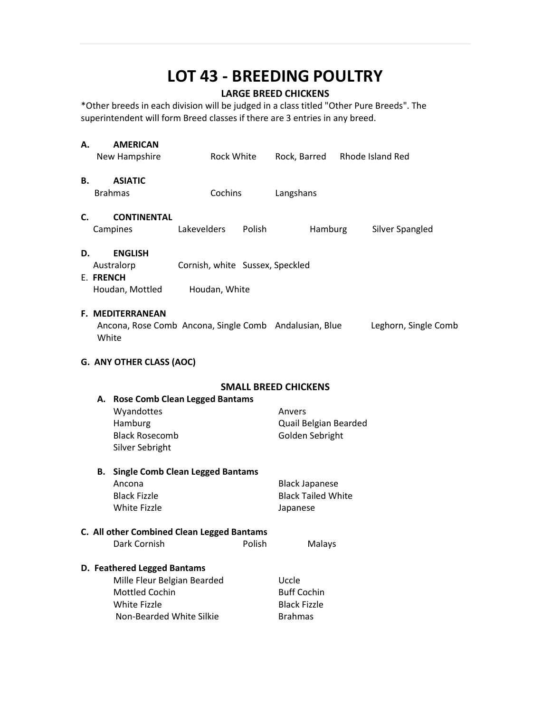# LOT 43 - BREEDING POULTRY

### LARGE BREED CHICKENS

\*Other breeds in each division will be judged in a class titled "Other Pure Breeds". The superintendent will form Breed classes if there are 3 entries in any breed.

| Α.                                                                                         | <b>AMERICAN</b><br>New Hampshire                                             | Rock White                                       |                                          | Rock, Barred Rhode Island Red         |                      |                 |  |
|--------------------------------------------------------------------------------------------|------------------------------------------------------------------------------|--------------------------------------------------|------------------------------------------|---------------------------------------|----------------------|-----------------|--|
| <b>B.</b>                                                                                  | <b>ASIATIC</b><br><b>Brahmas</b>                                             | Cochins                                          |                                          | Langshans                             |                      |                 |  |
| C.                                                                                         | <b>CONTINENTAL</b><br>Campines                                               | Lakevelders                                      | Polish                                   | Hamburg                               |                      | Silver Spangled |  |
| D.                                                                                         | <b>ENGLISH</b><br>Australorp<br>E. FRENCH<br>Houdan, Mottled                 | Cornish, white Sussex, Speckled<br>Houdan, White |                                          |                                       |                      |                 |  |
| <b>F. MEDITERRANEAN</b><br>Ancona, Rose Comb Ancona, Single Comb Andalusian, Blue<br>White |                                                                              |                                                  |                                          |                                       | Leghorn, Single Comb |                 |  |
| G. ANY OTHER CLASS (AOC)                                                                   |                                                                              |                                                  |                                          |                                       |                      |                 |  |
| <b>SMALL BREED CHICKENS</b>                                                                |                                                                              |                                                  |                                          |                                       |                      |                 |  |
|                                                                                            | A. Rose Comb Clean Legged Bantams                                            |                                                  |                                          |                                       |                      |                 |  |
|                                                                                            | Wyandottes<br>Hamburg<br><b>Black Rosecomb</b><br>Silver Sebright            |                                                  | Anvers                                   |                                       |                      |                 |  |
|                                                                                            |                                                                              |                                                  | Quail Belgian Bearded<br>Golden Sebright |                                       |                      |                 |  |
|                                                                                            | <b>Single Comb Clean Legged Bantams</b><br>В.                                |                                                  |                                          |                                       |                      |                 |  |
|                                                                                            | Ancona                                                                       |                                                  |                                          | <b>Black Japanese</b>                 |                      |                 |  |
|                                                                                            | <b>Black Fizzle</b><br><b>White Fizzle</b>                                   |                                                  |                                          | <b>Black Tailed White</b><br>Japanese |                      |                 |  |
| C. All other Combined Clean Legged Bantams                                                 |                                                                              |                                                  |                                          |                                       |                      |                 |  |
|                                                                                            | Dark Cornish                                                                 | the control of the Polish                        |                                          | Malays                                |                      |                 |  |
|                                                                                            | D. Feathered Legged Bantams<br>Mille Fleur Belgian Bearded<br>Mottled Cochin |                                                  |                                          | Uccle<br><b>Buff Cochin</b>           |                      |                 |  |
|                                                                                            | <b>White Fizzle</b><br>Non-Bearded White Silkie                              |                                                  |                                          | <b>Black Fizzle</b><br><b>Brahmas</b> |                      |                 |  |